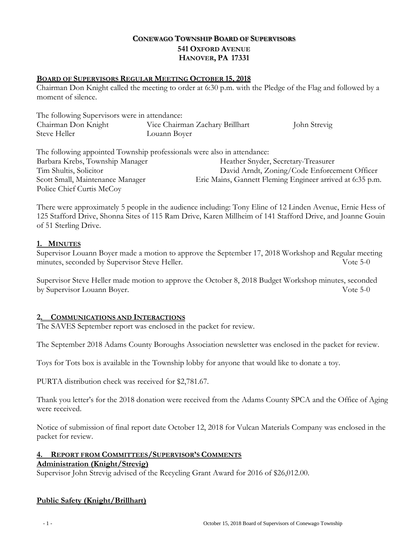# **CONEWAGO TOWNSHIP BOARD OF SUPERVISORS 541 OXFORD AVENUE HANOVER, PA 17331**

#### **BOARD OF SUPERVISORS REGULAR MEETING OCTOBER 15, 2018**

Chairman Don Knight called the meeting to order at 6:30 p.m. with the Pledge of the Flag and followed by a moment of silence.

| The following Supervisors were in attendance: |                                 |              |
|-----------------------------------------------|---------------------------------|--------------|
| Chairman Don Knight                           | Vice Chairman Zachary Brillhart | John Strevig |
| Steve Heller                                  | Louann Boyer                    |              |

The following appointed Township professionals were also in attendance: Barbara Krebs, Township Manager Heather Snyder, Secretary-Treasurer Tim Shultis, Solicitor David Arndt, Zoning/Code Enforcement Officer Scott Small, Maintenance Manager Eric Mains, Gannett Fleming Engineer arrived at 6:35 p.m. Police Chief Curtis McCoy

There were approximately 5 people in the audience including: Tony Eline of 12 Linden Avenue, Ernie Hess of 125 Stafford Drive, Shonna Sites of 115 Ram Drive, Karen Millheim of 141 Stafford Drive, and Joanne Gouin of 51 Sterling Drive.

# **1. MINUTES**

Supervisor Louann Boyer made a motion to approve the September 17, 2018 Workshop and Regular meeting minutes, seconded by Supervisor Steve Heller. Vote 5-0

Supervisor Steve Heller made motion to approve the October 8, 2018 Budget Workshop minutes, seconded by Supervisor Louann Boyer. Vote 5-0

#### **2. COMMUNICATIONS AND INTERACTIONS**

The SAVES September report was enclosed in the packet for review.

The September 2018 Adams County Boroughs Association newsletter was enclosed in the packet for review.

Toys for Tots box is available in the Township lobby for anyone that would like to donate a toy.

PURTA distribution check was received for \$2,781.67.

Thank you letter's for the 2018 donation were received from the Adams County SPCA and the Office of Aging were received.

Notice of submission of final report date October 12, 2018 for Vulcan Materials Company was enclosed in the packet for review.

# **4. REPORT FROM COMMITTEES/SUPERVISOR'S COMMENTS**

#### **Administration (Knight/Strevig)**

Supervisor John Strevig advised of the Recycling Grant Award for 2016 of \$26,012.00.

# **Public Safety (Knight/Brillhart)**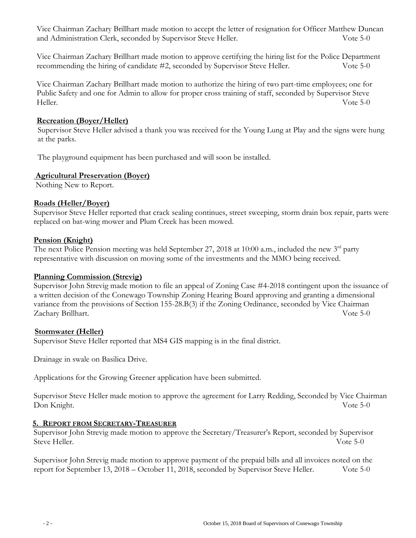Vice Chairman Zachary Brillhart made motion to accept the letter of resignation for Officer Matthew Duncan and Administration Clerk, seconded by Supervisor Steve Heller. Vote 5-0

Vice Chairman Zachary Brillhart made motion to approve certifying the hiring list for the Police Department recommending the hiring of candidate #2, seconded by Supervisor Steve Heller. Vote 5-0

Vice Chairman Zachary Brillhart made motion to authorize the hiring of two part-time employees; one for Public Safety and one for Admin to allow for proper cross training of staff, seconded by Supervisor Steve Heller. Vote 5-0

# **Recreation (Boyer/Heller)**

 Supervisor Steve Heller advised a thank you was received for the Young Lung at Play and the signs were hung at the parks.

The playground equipment has been purchased and will soon be installed.

# **Agricultural Preservation (Boyer)**

Nothing New to Report.

# **Roads (Heller/Boyer)**

Supervisor Steve Heller reported that crack sealing continues, street sweeping, storm drain box repair, parts were replaced on bat-wing mower and Plum Creek has been mowed.

# **Pension (Knight)**

The next Police Pension meeting was held September 27, 2018 at 10:00 a.m., included the new 3<sup>rd</sup> party representative with discussion on moving some of the investments and the MMO being received.

# **Planning Commission (Strevig)**

Supervisor John Strevig made motion to file an appeal of Zoning Case #4-2018 contingent upon the issuance of a written decision of the Conewago Township Zoning Hearing Board approving and granting a dimensional variance from the provisions of Section 155-28.B(3) if the Zoning Ordinance, seconded by Vice Chairman Zachary Brillhart. Vote 5-0

#### **Stormwater (Heller)**

Supervisor Steve Heller reported that MS4 GIS mapping is in the final district.

Drainage in swale on Basilica Drive.

Applications for the Growing Greener application have been submitted.

Supervisor Steve Heller made motion to approve the agreement for Larry Redding, Seconded by Vice Chairman Don Knight. Vote 5-0

#### **5. REPORT FROM SECRETARY-TREASURER**

Supervisor John Strevig made motion to approve the Secretary/Treasurer's Report, seconded by Supervisor Steve Heller. Vote 5-0

Supervisor John Strevig made motion to approve payment of the prepaid bills and all invoices noted on the report for September 13, 2018 – October 11, 2018, seconded by Supervisor Steve Heller. Vote 5-0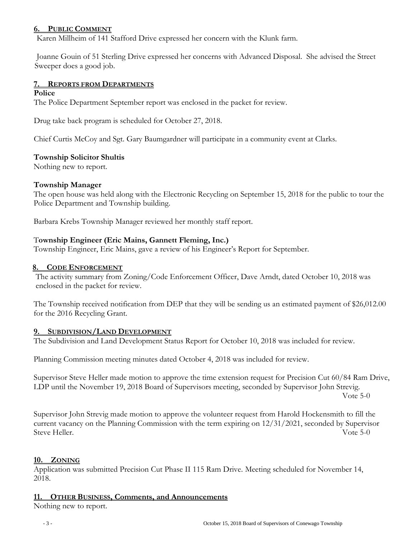#### **6. PUBLIC COMMENT**

Karen Millheim of 141 Stafford Drive expressed her concern with the Klunk farm.

 Joanne Gouin of 51 Sterling Drive expressed her concerns with Advanced Disposal. She advised the Street Sweeper does a good job.

# **7. REPORTS FROM DEPARTMENTS**

#### **Police**

The Police Department September report was enclosed in the packet for review.

Drug take back program is scheduled for October 27, 2018.

Chief Curtis McCoy and Sgt. Gary Baumgardner will participate in a community event at Clarks.

# **Township Solicitor Shultis**

Nothing new to report.

# **Township Manager**

The open house was held along with the Electronic Recycling on September 15, 2018 for the public to tour the Police Department and Township building.

Barbara Krebs Township Manager reviewed her monthly staff report.

# T**ownship Engineer (Eric Mains, Gannett Fleming, Inc.)**

Township Engineer, Eric Mains, gave a review of his Engineer's Report for September.

# **8. CODE ENFORCEMENT**

The activity summary from Zoning/Code Enforcement Officer, Dave Arndt, dated October 10, 2018 was enclosed in the packet for review.

The Township received notification from DEP that they will be sending us an estimated payment of \$26,012.00 for the 2016 Recycling Grant.

#### **9. SUBDIVISION/LAND DEVELOPMENT**

The Subdivision and Land Development Status Report for October 10, 2018 was included for review.

Planning Commission meeting minutes dated October 4, 2018 was included for review.

Supervisor Steve Heller made motion to approve the time extension request for Precision Cut 60/84 Ram Drive, LDP until the November 19, 2018 Board of Supervisors meeting, seconded by Supervisor John Strevig.

Vote 5-0

Supervisor John Strevig made motion to approve the volunteer request from Harold Hockensmith to fill the current vacancy on the Planning Commission with the term expiring on 12/31/2021, seconded by Supervisor Steve Heller. Vote 5-0

#### **10. ZONING**

Application was submitted Precision Cut Phase II 115 Ram Drive. Meeting scheduled for November 14, 2018.

#### **11. OTHER BUSINESS, Comments, and Announcements**

Nothing new to report.